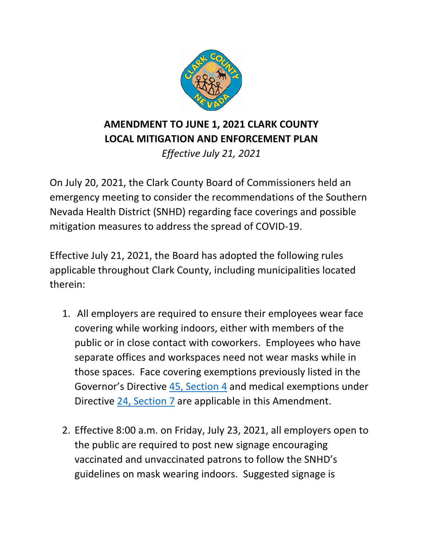

**AMENDMENT TO JUNE 1, 2021 CLARK COUNTY LOCAL MITIGATION AND ENFORCEMENT PLAN**

*Effective July 21, 2021*

On July 20, 2021, the Clark County Board of Commissioners held an emergency meeting to consider the recommendations of the Southern Nevada Health District (SNHD) regarding face coverings and possible mitigation measures to address the spread of COVID-19.

Effective July 21, 2021, the Board has adopted the following rules applicable throughout Clark County, including municipalities located therein:

- 1. All employers are required to ensure their employees wear face covering while working indoors, either with members of the public or in close contact with coworkers. Employees who have separate offices and workspaces need not wear masks while in those spaces. Face covering exemptions previously listed in the Governor's Directive [45, Section 4](https://nvhealthresponse.nv.gov/wp-content/uploads/2021/05/Declaration-of-Emergency-Directive-045-JP.pdf) and medical exemptions under Directive [24, Section 7](https://nvhealthresponse.nv.gov/wp-content/uploads/2020/06/Directive-024-Face-Coverings.pdf) are applicable in this Amendment.
- 2. Effective 8:00 a.m. on Friday, July 23, 2021, all employers open to the public are required to post new signage encouraging vaccinated and unvaccinated patrons to follow the SNHD's guidelines on mask wearing indoors. Suggested signage is